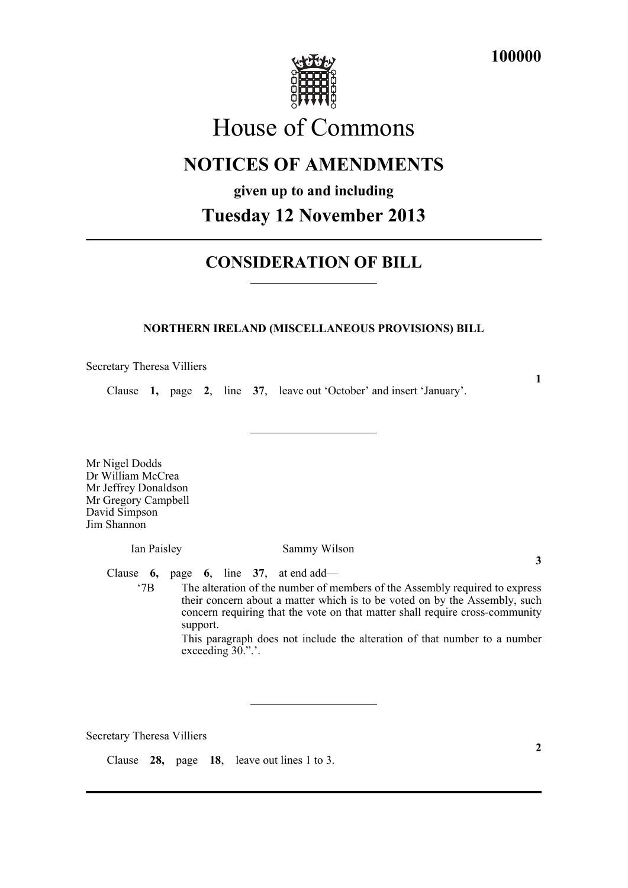

# House of Commons

## **NOTICES OF AMENDMENTS**

### **given up to and including**

### **Tuesday 12 November 2013**

### **CONSIDERATION OF BILL**

#### **NORTHERN IRELAND (MISCELLANEOUS PROVISIONS) BILL**

Secretary Theresa Villiers

Clause **1,** page **2**, line **37**, leave out 'October' and insert 'January'.

**1**

Mr Nigel Dodds Dr William McCrea Mr Jeffrey Donaldson Mr Gregory Campbell David Simpson Jim Shannon

Ian Paisley Sammy Wilson

**3**

Clause **6,** page **6**, line **37**, at end add—

'7B The alteration of the number of members of the Assembly required to express their concern about a matter which is to be voted on by the Assembly, such concern requiring that the vote on that matter shall require cross-community support.

This paragraph does not include the alteration of that number to a number exceeding 30.".'.

Secretary Theresa Villiers

Clause **28,** page **18**, leave out lines 1 to 3.

**2**